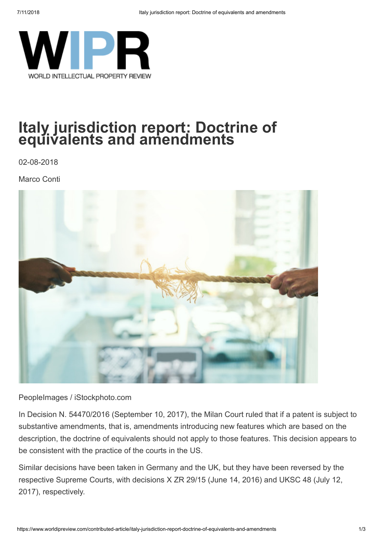

## **Italy jurisdiction report: Doctrine of equivalents and amendments**

02-08-2018

Marco Conti



PeopleImages / iStockphoto.com

In Decision N. 54470/2016 (September 10, 2017), the Milan Court ruled that if a patent is subject to substantive amendments, that is, amendments introducing new features which are based on the description, the doctrine of equivalents should not apply to those features. This decision appears to be consistent with the practice of the courts in the US.

Similar decisions have been taken in Germany and the UK, but they have been reversed by the respective Supreme Courts, with decisions X ZR 29/15 (June 14, 2016) and UKSC 48 (July 12, 2017), respectively.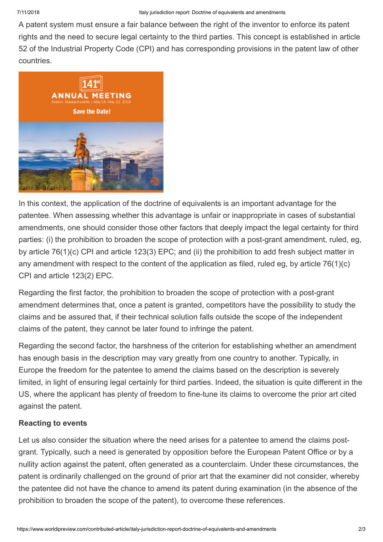A patent system must ensure a fair balance between the right of the inventor to enforce its patent rights and the need to secure legal certainty to the third parties. This concept is established in article 52 of the Industrial Property Code (CPI) and has corresponding provisions in the patent law of other countries.



In this context, the application of the doctrine of equivalents is an important advantage for the patentee. When assessing whether this advantage is unfair or inappropriate in cases of substantial amendments, one should consider those other factors that deeply impact the legal certainty for third parties: (i) the prohibition to broaden the scope of protection with a post-grant amendment, ruled, eg, by article 76(1)(c) CPI and article 123(3) EPC; and (ii) the prohibition to add fresh subject matter in any amendment with respect to the content of the application as filed, ruled eg, by article 76(1)(c) CPI and article 123(2) EPC.

Regarding the first factor, the prohibition to broaden the scope of protection with a post-grant amendment determines that, once a patent is granted, competitors have the possibility to study the claims and be assured that, if their technical solution falls outside the scope of the independent claims of the patent, they cannot be later found to infringe the patent.

Regarding the second factor, the harshness of the criterion for establishing whether an amendment has enough basis in the description may vary greatly from one country to another. Typically, in Europe the freedom for the patentee to amend the claims based on the description is severely limited, in light of ensuring legal certainly for third parties. Indeed, the situation is quite different in the US, where the applicant has plenty of freedom to fine-tune its claims to overcome the prior art cited against the patent.

## **Reacting to events**

Let us also consider the situation where the need arises for a patentee to amend the claims postgrant. Typically, such a need is generated by opposition before the European Patent Office or by a nullity action against the patent, often generated as a counterclaim. Under these circumstances, the patent is ordinarily challenged on the ground of prior art that the examiner did not consider, whereby the patentee did not have the chance to amend its patent during examination (in the absence of the prohibition to broaden the scope of the patent), to overcome these references.